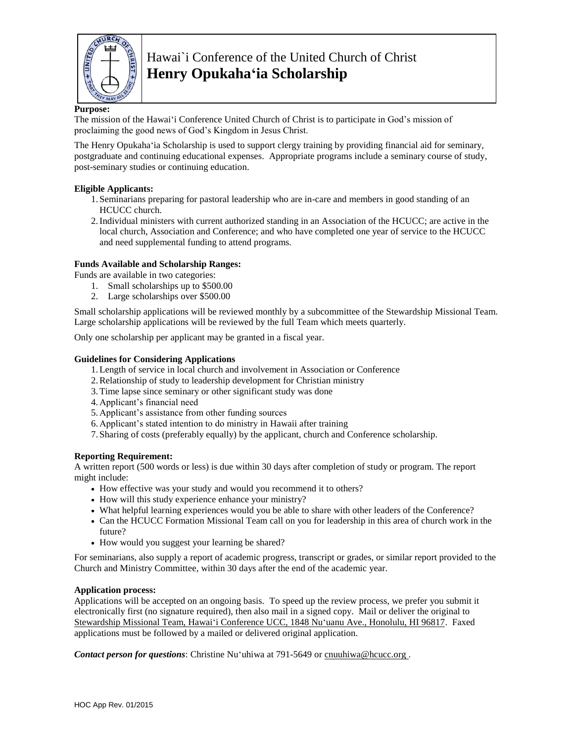

## Hawai`i Conference of the United Church of Christ **Henry Opukaha'ia Scholarship**

#### **Purpose:**

The mission of the Hawai'i Conference United Church of Christ is to participate in God's mission of proclaiming the good news of God's Kingdom in Jesus Christ.

The Henry Opukaha'ia Scholarship is used to support clergy training by providing financial aid for seminary, postgraduate and continuing educational expenses. Appropriate programs include a seminary course of study, post-seminary studies or continuing education.

#### **Eligible Applicants:**

- 1. Seminarians preparing for pastoral leadership who are in-care and members in good standing of an HCUCC church.
- 2.Individual ministers with current authorized standing in an Association of the HCUCC; are active in the local church, Association and Conference; and who have completed one year of service to the HCUCC and need supplemental funding to attend programs.

#### **Funds Available and Scholarship Ranges:**

Funds are available in two categories:

- 1. Small scholarships up to \$500.00
- 2. Large scholarships over \$500.00

Small scholarship applications will be reviewed monthly by a subcommittee of the Stewardship Missional Team. Large scholarship applications will be reviewed by the full Team which meets quarterly.

Only one scholarship per applicant may be granted in a fiscal year.

#### **Guidelines for Considering Applications**

- 1.Length of service in local church and involvement in Association or Conference
- 2.Relationship of study to leadership development for Christian ministry
- 3.Time lapse since seminary or other significant study was done
- 4. Applicant's financial need
- 5. Applicant's assistance from other funding sources
- 6. Applicant's stated intention to do ministry in Hawaii after training
- 7. Sharing of costs (preferably equally) by the applicant, church and Conference scholarship.

#### **Reporting Requirement:**

A written report (500 words or less) is due within 30 days after completion of study or program. The report might include:

- How effective was your study and would you recommend it to others?
- How will this study experience enhance your ministry?
- What helpful learning experiences would you be able to share with other leaders of the Conference?
- Can the HCUCC Formation Missional Team call on you for leadership in this area of church work in the future?
- How would you suggest your learning be shared?

For seminarians, also supply a report of academic progress, transcript or grades, or similar report provided to the Church and Ministry Committee, within 30 days after the end of the academic year.

#### **Application process:**

Applications will be accepted on an ongoing basis. To speed up the review process, we prefer you submit it electronically first (no signature required), then also mail in a signed copy. Mail or deliver the original to Stewardship Missional Team, Hawai'i Conference UCC, 1848 Nu'uanu Ave., Honolulu, HI 96817. Faxed applications must be followed by a mailed or delivered original application.

*Contact person for questions*: Christine Nu'uhiwa at 791-5649 or cnuuhiwa@hcucc.org .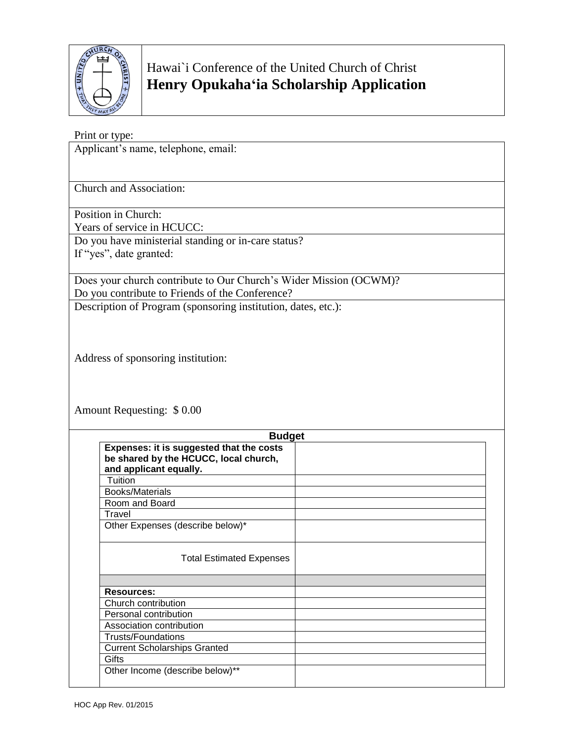

# Hawai`i Conference of the United Church of Christ **Henry Opukaha'ia Scholarship Application**

### Print or type:

Applicant's name, telephone, email:

Church and Association:

Position in Church:

Years of service in HCUCC:

Do you have ministerial standing or in-care status? If "yes", date granted:

Does your church contribute to Our Church's Wider Mission (OCWM)? Do you contribute to Friends of the Conference?

Description of Program (sponsoring institution, dates, etc.):

Address of sponsoring institution:

Amount Requesting: \$ 0.00

| <b>Budget</b>                                                                                               |  |
|-------------------------------------------------------------------------------------------------------------|--|
| Expenses: it is suggested that the costs<br>be shared by the HCUCC, local church,<br>and applicant equally. |  |
| Tuition                                                                                                     |  |
| Books/Materials                                                                                             |  |
| Room and Board                                                                                              |  |
| Travel                                                                                                      |  |
| Other Expenses (describe below)*                                                                            |  |
| <b>Total Estimated Expenses</b>                                                                             |  |
| <b>Resources:</b>                                                                                           |  |
| Church contribution                                                                                         |  |
| Personal contribution                                                                                       |  |
| Association contribution                                                                                    |  |
| <b>Trusts/Foundations</b>                                                                                   |  |
| <b>Current Scholarships Granted</b>                                                                         |  |
| Gifts                                                                                                       |  |
| Other Income (describe below)**                                                                             |  |
|                                                                                                             |  |